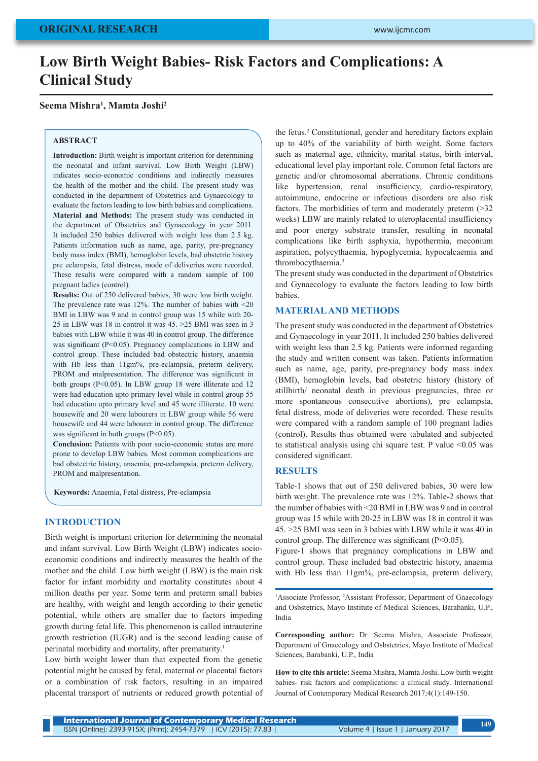# **Low Birth Weight Babies- Risk Factors and Complications: A Clinical Study**

## **Seema Mishra1 , Mamta Joshi2**

#### **ABSTRACT**

**Introduction:** Birth weight is important criterion for determining the neonatal and infant survival. Low Birth Weight (LBW) indicates socio-economic conditions and indirectly measures the health of the mother and the child. The present study was conducted in the department of Obstetrics and Gynaecology to evaluate the factors leading to low birth babies and complications. **Material and Methods:** The present study was conducted in the department of Obstetrics and Gynaecology in year 2011. It included 250 babies delivered with weight less than 2.5 kg. Patients information such as name, age, parity, pre-pregnancy body mass index (BMI), hemoglobin levels, bad obstetric history pre eclampsia, fetal distress, mode of deliveries were recorded. These results were compared with a random sample of 100 pregnant ladies (control).

**Results:** Out of 250 delivered babies, 30 were low birth weight. The prevalence rate was  $12\%$ . The number of babies with  $\leq 20$ BMI in LBW was 9 and in control group was 15 while with 20- 25 in LBW was 18 in control it was 45. >25 BMI was seen in 3 babies with LBW while it was 40 in control group. The difference was significant (P<0.05). Pregnancy complications in LBW and control group. These included bad obstectric history, anaemia with Hb less than 11gm%, pre-eclampsia, preterm delivery, PROM and malpresentation. The difference was significant in both groups (P<0.05). In LBW group 18 were illiterate and 12 were had education upto primary level while in control group 55 had education upto primary level and 45 were illiterate. 10 were housewife and 20 were labourers in LBW group while 56 were housewife and 44 were labourer in control group. The difference was significant in both groups  $(P<0.05)$ .

**Conclusion:** Patients with poor socio-economic status are more prone to develop LBW babies. Most common complications are bad obstectric history, anaemia, pre-eclampsia, preterm delivery, PROM and malpresentation.

**Keywords:** Anaemia, Fetal distress, Pre-eclampsia

## **INTRODUCTION**

Birth weight is important criterion for determining the neonatal and infant survival. Low Birth Weight (LBW) indicates socioeconomic conditions and indirectly measures the health of the mother and the child. Low birth weight (LBW) is the main risk factor for infant morbidity and mortality constitutes about 4 million deaths per year. Some term and preterm small babies are healthy, with weight and length according to their genetic potential, while others are smaller due to factors impeding growth during fetal life. This phenomenon is called intrauterine growth restriction (IUGR) and is the second leading cause of perinatal morbidity and mortality, after prematurity.1

Low birth weight lower than that expected from the genetic potential might be caused by fetal, maternal or placental factors or a combination of risk factors, resulting in an impaired placental transport of nutrients or reduced growth potential of

the fetus.<sup>2</sup> Constitutional, gender and hereditary factors explain up to 40% of the variability of birth weight. Some factors such as maternal age, ethnicity, marital status, birth interval, educational level play important role. Common fetal factors are genetic and/or chromosomal aberrations. Chronic conditions like hypertension, renal insufficiency, cardio-respiratory, autoimmune, endocrine or infectious disorders are also risk factors. The morbidities of term and moderately preterm (>32 weeks) LBW are mainly related to uteroplacental insufficiency and poor energy substrate transfer, resulting in neonatal complications like birth asphyxia, hypothermia, meconium aspiration, polycythaemia, hypoglycemia, hypocalcaemia and thrombocythaemia.3

The present study was conducted in the department of Obstetrics and Gynaecology to evaluate the factors leading to low birth babies.

### **MATERIAL AND METHODS**

The present study was conducted in the department of Obstetrics and Gynaecology in year 2011. It included 250 babies delivered with weight less than 2.5 kg. Patients were informed regarding the study and written consent was taken. Patients information such as name, age, parity, pre-pregnancy body mass index (BMI), hemoglobin levels, bad obstetric history (history of stillbirth/ neonatal death in previous pregnancies, three or more spontaneous consecutive abortions), pre eclampsia, fetal distress, mode of deliveries were recorded. These results were compared with a random sample of 100 pregnant ladies (control). Results thus obtained were tabulated and subjected to statistical analysis using chi square test. P value <0.05 was considered significant.

#### **RESULTS**

Table-1 shows that out of 250 delivered babies, 30 were low birth weight. The prevalence rate was 12%. Table-2 shows that the number of babies with <20 BMI in LBW was 9 and in control group was 15 while with 20-25 in LBW was 18 in control it was 45. >25 BMI was seen in 3 babies with LBW while it was 40 in control group. The difference was significant  $(P<0.05)$ .

Figure-1 shows that pregnancy complications in LBW and control group. These included bad obstectric history, anaemia with Hb less than 11gm%, pre-eclampsia, preterm delivery,

<sup>1</sup>Associate Professor, <sup>2</sup>Assistant Professor, Department of Gnaecology and Osbstetrics, Mayo Institute of Medical Sciences, Barabanki, U.P., India

**Corresponding author:** Dr. Seema Mishra, Associate Professor, Department of Gnaecology and Osbstetrics, Mayo Institute of Medical Sciences, Barabanki, U.P., India

**How to cite this article:** Seema Mishra, Mamta Joshi. Low birth weight babies- risk factors and complications: a clinical study. International Journal of Contemporary Medical Research 2017;4(1):149-150.